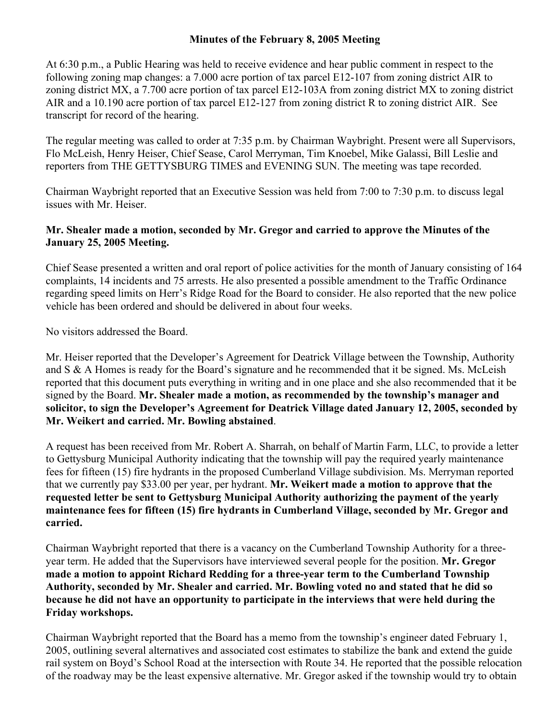## **Minutes of the February 8, 2005 Meeting**

At 6:30 p.m., a Public Hearing was held to receive evidence and hear public comment in respect to the following zoning map changes: a 7.000 acre portion of tax parcel E12-107 from zoning district AIR to zoning district MX, a 7.700 acre portion of tax parcel E12-103A from zoning district MX to zoning district AIR and a 10.190 acre portion of tax parcel E12-127 from zoning district R to zoning district AIR. See transcript for record of the hearing.

The regular meeting was called to order at 7:35 p.m. by Chairman Waybright. Present were all Supervisors, Flo McLeish, Henry Heiser, Chief Sease, Carol Merryman, Tim Knoebel, Mike Galassi, Bill Leslie and reporters from THE GETTYSBURG TIMES and EVENING SUN. The meeting was tape recorded.

Chairman Waybright reported that an Executive Session was held from 7:00 to 7:30 p.m. to discuss legal issues with Mr. Heiser.

## **Mr. Shealer made a motion, seconded by Mr. Gregor and carried to approve the Minutes of the January 25, 2005 Meeting.**

Chief Sease presented a written and oral report of police activities for the month of January consisting of 164 complaints, 14 incidents and 75 arrests. He also presented a possible amendment to the Traffic Ordinance regarding speed limits on Herr's Ridge Road for the Board to consider. He also reported that the new police vehicle has been ordered and should be delivered in about four weeks.

No visitors addressed the Board.

Mr. Heiser reported that the Developer's Agreement for Deatrick Village between the Township, Authority and S & A Homes is ready for the Board's signature and he recommended that it be signed. Ms. McLeish reported that this document puts everything in writing and in one place and she also recommended that it be signed by the Board. **Mr. Shealer made a motion, as recommended by the township's manager and solicitor, to sign the Developer's Agreement for Deatrick Village dated January 12, 2005, seconded by Mr. Weikert and carried. Mr. Bowling abstained**.

A request has been received from Mr. Robert A. Sharrah, on behalf of Martin Farm, LLC, to provide a letter to Gettysburg Municipal Authority indicating that the township will pay the required yearly maintenance fees for fifteen (15) fire hydrants in the proposed Cumberland Village subdivision. Ms. Merryman reported that we currently pay \$33.00 per year, per hydrant. **Mr. Weikert made a motion to approve that the requested letter be sent to Gettysburg Municipal Authority authorizing the payment of the yearly maintenance fees for fifteen (15) fire hydrants in Cumberland Village, seconded by Mr. Gregor and carried.** 

Chairman Waybright reported that there is a vacancy on the Cumberland Township Authority for a threeyear term. He added that the Supervisors have interviewed several people for the position. **Mr. Gregor made a motion to appoint Richard Redding for a three-year term to the Cumberland Township Authority, seconded by Mr. Shealer and carried. Mr. Bowling voted no and stated that he did so because he did not have an opportunity to participate in the interviews that were held during the Friday workshops.** 

Chairman Waybright reported that the Board has a memo from the township's engineer dated February 1, 2005, outlining several alternatives and associated cost estimates to stabilize the bank and extend the guide rail system on Boyd's School Road at the intersection with Route 34. He reported that the possible relocation of the roadway may be the least expensive alternative. Mr. Gregor asked if the township would try to obtain